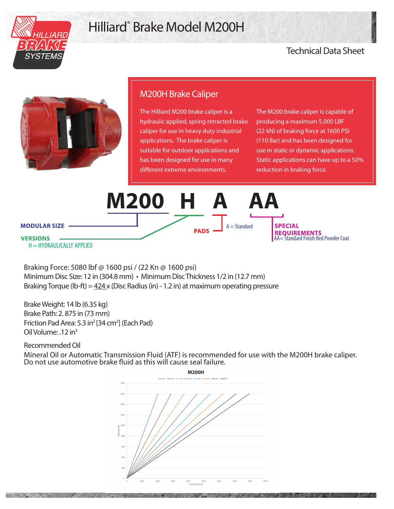

## Hilliard® Brake Model M200H

## Technical Data Sheet



## M200H Brake Caliper

The Hilliard M200 brake caliper is a hydraulic applied, spring retracted brake caliper for use in heavy duty industrial applications. The brake caliper is suitable for outdoor applications and has been designed for use in many different extreme environments.

The M200 brake caliper is capable of producing a maximum 5,000 LBF (22 kN) of braking force at 1600 PSI (110 Bar) and has been designed for use in static or dynamic applications. Static applications can have up to a 50% reduction in braking force.

**M200 H A AA MODULAR SIZE -** $A =$ Standard **SPECIAL REQUIREMENTS VERSIONS** AA= Standard Finish Red Powder Coat  $H = HYDRAULICALLY APPLICATION$ 

Braking Force: 5080 lbf @ 1600 psi / (22 Kn @ 1600 psi) Minimum Disc Size: 12 in (304.8 mm) • Minimum Disc Thickness 1/2 in (12.7 mm) Braking Torque (lb-ft) =  $424x$  (Disc Radius (in) - 1.2 in) at maximum operating pressure

Brake Weight: 14 lb (6.35 kg) Brake Path: 2. 875 in (73 mm) Friction Pad Area: 5.3 in<sup>2</sup> [34 cm<sup>2</sup>] (Each Pad) Oil Volume: .12 in3

Recommended Oil

Mineral Oil or Automatic Transmission Fluid (ATF) is recommended for use with the M200H brake caliper. Do not use automotive brake fluid as this will cause seal failure.